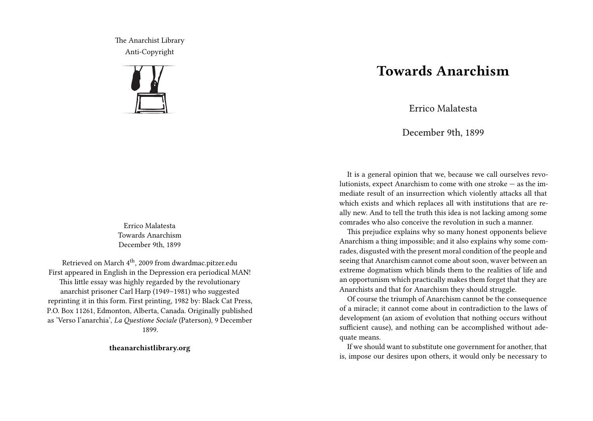The Anarchist Library Anti-Copyright



Errico Malatesta Towards Anarchism December 9th, 1899

Retrieved on March 4<sup>th</sup>, 2009 from dwardmac.pitzer.edu First appeared in English in the Depression era periodical MAN! This little essay was highly regarded by the revolutionary anarchist prisoner Carl Harp (1949–1981) who suggested reprinting it in this form. First printing, 1982 by: Black Cat Press, P.O. Box 11261, Edmonton, Alberta, Canada. Originally published as 'Verso l'anarchia', *La Questione Sociale* (Paterson), 9 December 1899.

**theanarchistlibrary.org**

## **Towards Anarchism**

Errico Malatesta

December 9th, 1899

It is a general opinion that we, because we call ourselves revolutionists, expect Anarchism to come with one stroke — as the immediate result of an insurrection which violently attacks all that which exists and which replaces all with institutions that are really new. And to tell the truth this idea is not lacking among some comrades who also conceive the revolution in such a manner.

This prejudice explains why so many honest opponents believe Anarchism a thing impossible; and it also explains why some comrades, disgusted with the present moral condition of the people and seeing that Anarchism cannot come about soon, waver between an extreme dogmatism which blinds them to the realities of life and an opportunism which practically makes them forget that they are Anarchists and that for Anarchism they should struggle.

Of course the triumph of Anarchism cannot be the consequence of a miracle; it cannot come about in contradiction to the laws of development (an axiom of evolution that nothing occurs without sufficient cause), and nothing can be accomplished without adequate means.

If we should want to substitute one government for another, that is, impose our desires upon others, it would only be necessary to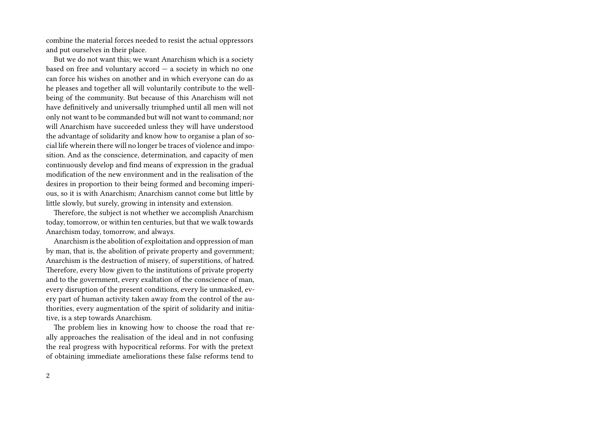combine the material forces needed to resist the actual oppressors and put ourselves in their place.

But we do not want this; we want Anarchism which is a society based on free and voluntary accord — a society in which no one can force his wishes on another and in which everyone can do as he pleases and together all will voluntarily contribute to the wellbeing of the community. But because of this Anarchism will not have definitively and universally triumphed until all men will not only not want to be commanded but will not want to command; nor will Anarchism have succeeded unless they will have understood the advantage of solidarity and know how to organise a plan of social life wherein there will no longer be traces of violence and imposition. And as the conscience, determination, and capacity of men continuously develop and find means of expression in the gradual modification of the new environment and in the realisation of the desires in proportion to their being formed and becoming imperious, so it is with Anarchism; Anarchism cannot come but little by little slowly, but surely, growing in intensity and extension.

Therefore, the subject is not whether we accomplish Anarchism today, tomorrow, or within ten centuries, but that we walk towards Anarchism today, tomorrow, and always.

Anarchism is the abolition of exploitation and oppression of man by man, that is, the abolition of private property and government; Anarchism is the destruction of misery, of superstitions, of hatred. Therefore, every blow given to the institutions of private property and to the government, every exaltation of the conscience of man, every disruption of the present conditions, every lie unmasked, every part of human activity taken away from the control of the authorities, every augmentation of the spirit of solidarity and initiative, is a step towards Anarchism.

The problem lies in knowing how to choose the road that really approaches the realisation of the ideal and in not confusing the real progress with hypocritical reforms. For with the pretext of obtaining immediate ameliorations these false reforms tend to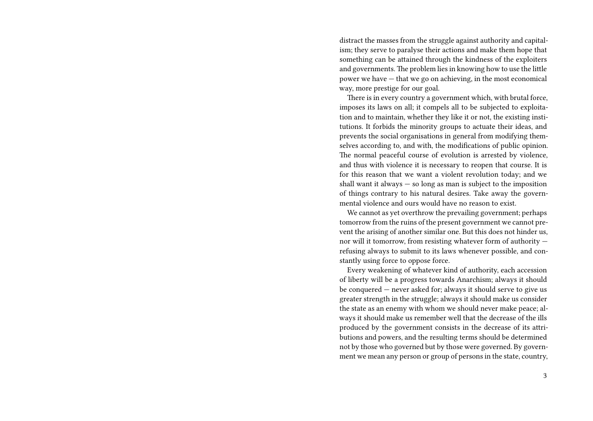distract the masses from the struggle against authority and capitalism; they serve to paralyse their actions and make them hope that something can be attained through the kindness of the exploiters and governments. The problem lies in knowing how to use the little power we have — that we go on achieving, in the most economical way, more prestige for our goal.

There is in every country a government which, with brutal force, imposes its laws on all; it compels all to be subjected to exploitation and to maintain, whether they like it or not, the existing institutions. It forbids the minority groups to actuate their ideas, and prevents the social organisations in general from modifying themselves according to, and with, the modifications of public opinion. The normal peaceful course of evolution is arrested by violence, and thus with violence it is necessary to reopen that course. It is for this reason that we want a violent revolution today; and we shall want it always  $-$  so long as man is subject to the imposition of things contrary to his natural desires. Take away the governmental violence and ours would have no reason to exist.

We cannot as yet overthrow the prevailing government; perhaps tomorrow from the ruins of the present government we cannot prevent the arising of another similar one. But this does not hinder us, nor will it tomorrow, from resisting whatever form of authority refusing always to submit to its laws whenever possible, and constantly using force to oppose force.

Every weakening of whatever kind of authority, each accession of liberty will be a progress towards Anarchism; always it should be conquered — never asked for; always it should serve to give us greater strength in the struggle; always it should make us consider the state as an enemy with whom we should never make peace; always it should make us remember well that the decrease of the ills produced by the government consists in the decrease of its attributions and powers, and the resulting terms should be determined not by those who governed but by those were governed. By government we mean any person or group of persons in the state, country,